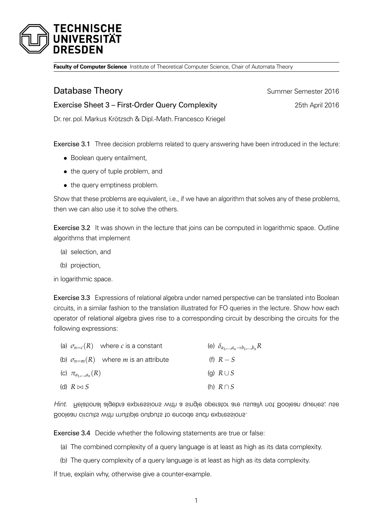

**Faculty of Computer Science** Institute of Theoretical Computer Science, Chair of Automata Theory

## **Database Theory Summer Semester 2016**

## Exercise Sheet 3 – First-Order Query Complexity 25th April 2016

Dr. rer. pol.Markus Krötzsch & Dipl.-Math. Francesco Kriegel

Exercise 3.1 Three decision problems related to query answering have been introduced in the lecture:

- *•* Boolean query entailment,
- *•* the query of tuple problem, and
- the query emptiness problem.

Show that these problems are equivalent, i.e., if we have an algorithm that solves any of these problems, then we can also use it to solve the others.

Exercise 3.2 It was shown in the lecture that joins can be computed in logarithmic space. Outline algorithms that implement

- (a) selection, and
- (b) projection,

in logarithmic space.

Exercise 3.3 Expressions of relational algebra under named perspective can be translated into Boolean circuits, in a similar fashion to the translation illustrated for FO queries in the lecture. Show how each operator of relational algebra gives rise to a corresponding circuit by describing the circuits for the following expressions:

| (a) $\sigma_{n=c}(R)$ where c is a constant          | (e) $\delta_{a_1,,a_n\rightarrow b_1,,b_n}R$ |
|------------------------------------------------------|----------------------------------------------|
| (b) $\sigma_{n=m}(R)$ where <i>m</i> is an attribute | (f) $R-S$                                    |
| (c) $\pi_{a_1,,a_n}(R)$                              | (g) $R \cup S$                               |
| (d) $R \bowtie S$                                    | (h) $R \cap S$                               |

Hiut. Helational algebra expressions with a single operator are usually not Boolean queries; use Boolean circuits with multiple outputs to encode such expressions.

Exercise 3.4 Decide whether the following statements are true or false:

- (a) The combined complexity of a query language is at least as high as its data complexity.
- (b) The query complexity of a query language is at least as high as its data complexity.

If true, explain why, otherwise give a counter-example.